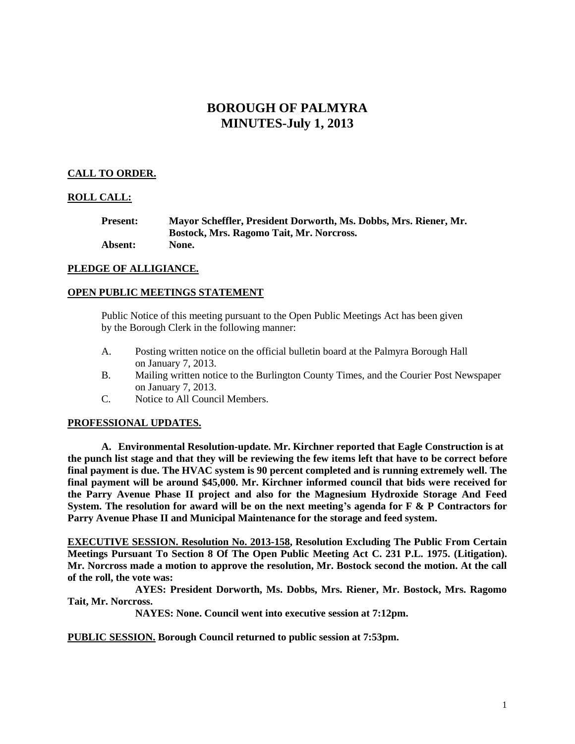# **BOROUGH OF PALMYRA MINUTES-July 1, 2013**

## **CALL TO ORDER.**

## **ROLL CALL:**

| <b>Present:</b> | Mayor Scheffler, President Dorworth, Ms. Dobbs, Mrs. Riener, Mr. |
|-----------------|------------------------------------------------------------------|
|                 | Bostock, Mrs. Ragomo Tait, Mr. Norcross.                         |
| <b>Absent:</b>  | None.                                                            |

## **PLEDGE OF ALLIGIANCE.**

## **OPEN PUBLIC MEETINGS STATEMENT**

Public Notice of this meeting pursuant to the Open Public Meetings Act has been given by the Borough Clerk in the following manner:

- A. Posting written notice on the official bulletin board at the Palmyra Borough Hall on January 7, 2013.
- B. Mailing written notice to the Burlington County Times, and the Courier Post Newspaper on January 7, 2013.
- C. Notice to All Council Members.

## **PROFESSIONAL UPDATES.**

**A. Environmental Resolution-update. Mr. Kirchner reported that Eagle Construction is at the punch list stage and that they will be reviewing the few items left that have to be correct before final payment is due. The HVAC system is 90 percent completed and is running extremely well. The final payment will be around \$45,000. Mr. Kirchner informed council that bids were received for the Parry Avenue Phase II project and also for the Magnesium Hydroxide Storage And Feed System. The resolution for award will be on the next meeting's agenda for F & P Contractors for Parry Avenue Phase II and Municipal Maintenance for the storage and feed system.** 

**EXECUTIVE SESSION. Resolution No. 2013-158, Resolution Excluding The Public From Certain Meetings Pursuant To Section 8 Of The Open Public Meeting Act C. 231 P.L. 1975. (Litigation). Mr. Norcross made a motion to approve the resolution, Mr. Bostock second the motion. At the call of the roll, the vote was:**

**AYES: President Dorworth, Ms. Dobbs, Mrs. Riener, Mr. Bostock, Mrs. Ragomo Tait, Mr. Norcross.**

**NAYES: None. Council went into executive session at 7:12pm.**

**PUBLIC SESSION. Borough Council returned to public session at 7:53pm.**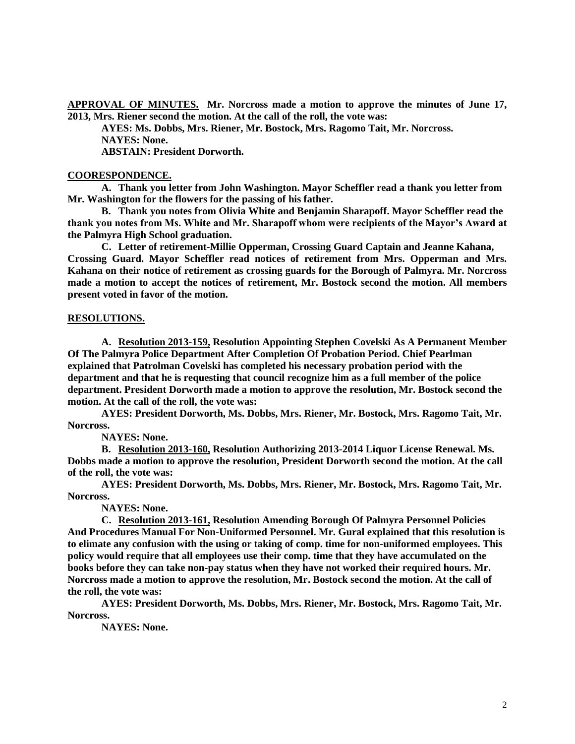**APPROVAL OF MINUTES. Mr. Norcross made a motion to approve the minutes of June 17, 2013, Mrs. Riener second the motion. At the call of the roll, the vote was:**

**AYES: Ms. Dobbs, Mrs. Riener, Mr. Bostock, Mrs. Ragomo Tait, Mr. Norcross. NAYES: None. ABSTAIN: President Dorworth.**

#### **COORESPONDENCE.**

**A. Thank you letter from John Washington. Mayor Scheffler read a thank you letter from Mr. Washington for the flowers for the passing of his father.** 

**B. Thank you notes from Olivia White and Benjamin Sharapoff. Mayor Scheffler read the thank you notes from Ms. White and Mr. Sharapoff whom were recipients of the Mayor's Award at the Palmyra High School graduation.**

**C. Letter of retirement-Millie Opperman, Crossing Guard Captain and Jeanne Kahana, Crossing Guard. Mayor Scheffler read notices of retirement from Mrs. Opperman and Mrs. Kahana on their notice of retirement as crossing guards for the Borough of Palmyra. Mr. Norcross made a motion to accept the notices of retirement, Mr. Bostock second the motion. All members present voted in favor of the motion.** 

#### **RESOLUTIONS.**

**A. Resolution 2013-159, Resolution Appointing Stephen Covelski As A Permanent Member Of The Palmyra Police Department After Completion Of Probation Period. Chief Pearlman explained that Patrolman Covelski has completed his necessary probation period with the department and that he is requesting that council recognize him as a full member of the police department. President Dorworth made a motion to approve the resolution, Mr. Bostock second the motion. At the call of the roll, the vote was:**

**AYES: President Dorworth, Ms. Dobbs, Mrs. Riener, Mr. Bostock, Mrs. Ragomo Tait, Mr. Norcross.**

**NAYES: None.**

**B. Resolution 2013-160, Resolution Authorizing 2013-2014 Liquor License Renewal. Ms. Dobbs made a motion to approve the resolution, President Dorworth second the motion. At the call of the roll, the vote was:**

**AYES: President Dorworth, Ms. Dobbs, Mrs. Riener, Mr. Bostock, Mrs. Ragomo Tait, Mr. Norcross.**

**NAYES: None.**

**C. Resolution 2013-161, Resolution Amending Borough Of Palmyra Personnel Policies And Procedures Manual For Non-Uniformed Personnel. Mr. Gural explained that this resolution is to elimate any confusion with the using or taking of comp. time for non-uniformed employees. This policy would require that all employees use their comp. time that they have accumulated on the books before they can take non-pay status when they have not worked their required hours. Mr. Norcross made a motion to approve the resolution, Mr. Bostock second the motion. At the call of the roll, the vote was:**

**AYES: President Dorworth, Ms. Dobbs, Mrs. Riener, Mr. Bostock, Mrs. Ragomo Tait, Mr. Norcross.**

**NAYES: None.**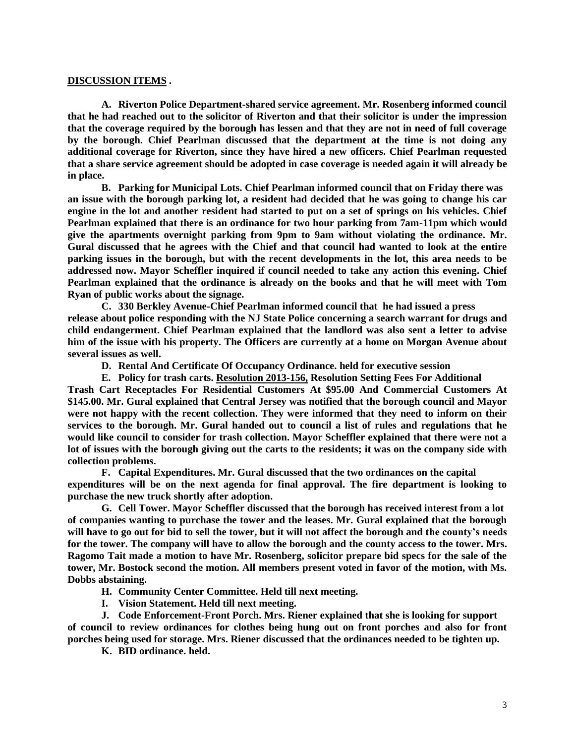#### **DISCUSSION ITEMS .**

**A. Riverton Police Department-shared service agreement. Mr. Rosenberg informed council that he had reached out to the solicitor of Riverton and that their solicitor is under the impression that the coverage required by the borough has lessen and that they are not in need of full coverage by the borough. Chief Pearlman discussed that the department at the time is not doing any additional coverage for Riverton, since they have hired a new officers. Chief Pearlman requested that a share service agreement should be adopted in case coverage is needed again it will already be in place.** 

**B. Parking for Municipal Lots. Chief Pearlman informed council that on Friday there was an issue with the borough parking lot, a resident had decided that he was going to change his car engine in the lot and another resident had started to put on a set of springs on his vehicles. Chief Pearlman explained that there is an ordinance for two hour parking from 7am-11pm which would give the apartments overnight parking from 9pm to 9am without violating the ordinance. Mr. Gural discussed that he agrees with the Chief and that council had wanted to look at the entire parking issues in the borough, but with the recent developments in the lot, this area needs to be addressed now. Mayor Scheffler inquired if council needed to take any action this evening. Chief Pearlman explained that the ordinance is already on the books and that he will meet with Tom Ryan of public works about the signage.** 

**C. 330 Berkley Avenue-Chief Pearlman informed council that he had issued a press release about police responding with the NJ State Police concerning a search warrant for drugs and child endangerment. Chief Pearlman explained that the landlord was also sent a letter to advise him of the issue with his property. The Officers are currently at a home on Morgan Avenue about several issues as well.** 

**D. Rental And Certificate Of Occupancy Ordinance. held for executive session**

**E. Policy for trash carts. Resolution 2013-156, Resolution Setting Fees For Additional Trash Cart Receptacles For Residential Customers At \$95.00 And Commercial Customers At \$145.00. Mr. Gural explained that Central Jersey was notified that the borough council and Mayor were not happy with the recent collection. They were informed that they need to inform on their services to the borough. Mr. Gural handed out to council a list of rules and regulations that he would like council to consider for trash collection. Mayor Scheffler explained that there were not a lot of issues with the borough giving out the carts to the residents; it was on the company side with collection problems.** 

**F. Capital Expenditures. Mr. Gural discussed that the two ordinances on the capital expenditures will be on the next agenda for final approval. The fire department is looking to purchase the new truck shortly after adoption.**

**G. Cell Tower. Mayor Scheffler discussed that the borough has received interest from a lot of companies wanting to purchase the tower and the leases. Mr. Gural explained that the borough will have to go out for bid to sell the tower, but it will not affect the borough and the county's needs for the tower. The company will have to allow the borough and the county access to the tower. Mrs. Ragomo Tait made a motion to have Mr. Rosenberg, solicitor prepare bid specs for the sale of the tower, Mr. Bostock second the motion. All members present voted in favor of the motion, with Ms. Dobbs abstaining.** 

**H. Community Center Committee. Held till next meeting.**

**I. Vision Statement. Held till next meeting.**

**J. Code Enforcement-Front Porch. Mrs. Riener explained that she is looking for support of council to review ordinances for clothes being hung out on front porches and also for front porches being used for storage. Mrs. Riener discussed that the ordinances needed to be tighten up.**

**K. BID ordinance. held.**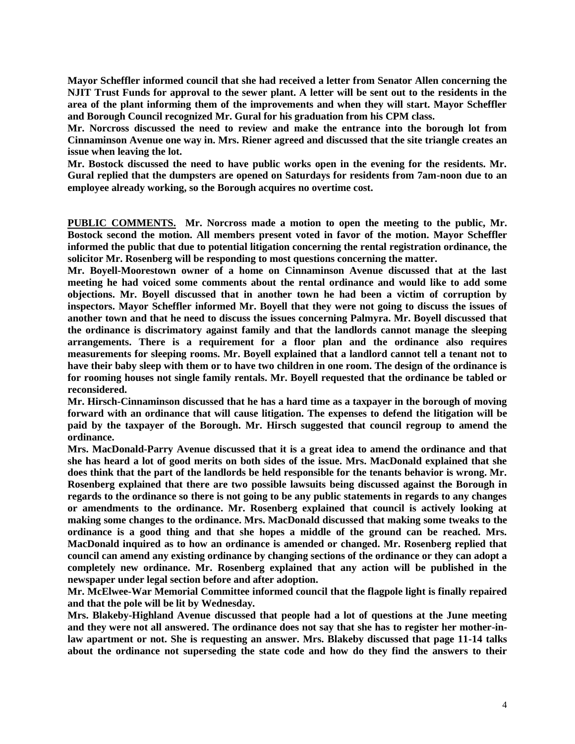**Mayor Scheffler informed council that she had received a letter from Senator Allen concerning the NJIT Trust Funds for approval to the sewer plant. A letter will be sent out to the residents in the area of the plant informing them of the improvements and when they will start. Mayor Scheffler and Borough Council recognized Mr. Gural for his graduation from his CPM class.**

**Mr. Norcross discussed the need to review and make the entrance into the borough lot from Cinnaminson Avenue one way in. Mrs. Riener agreed and discussed that the site triangle creates an issue when leaving the lot.** 

**Mr. Bostock discussed the need to have public works open in the evening for the residents. Mr. Gural replied that the dumpsters are opened on Saturdays for residents from 7am-noon due to an employee already working, so the Borough acquires no overtime cost.** 

**PUBLIC COMMENTS. Mr. Norcross made a motion to open the meeting to the public, Mr. Bostock second the motion. All members present voted in favor of the motion. Mayor Scheffler informed the public that due to potential litigation concerning the rental registration ordinance, the solicitor Mr. Rosenberg will be responding to most questions concerning the matter.** 

**Mr. Boyell-Moorestown owner of a home on Cinnaminson Avenue discussed that at the last meeting he had voiced some comments about the rental ordinance and would like to add some objections. Mr. Boyell discussed that in another town he had been a victim of corruption by inspectors. Mayor Scheffler informed Mr. Boyell that they were not going to discuss the issues of another town and that he need to discuss the issues concerning Palmyra. Mr. Boyell discussed that the ordinance is discrimatory against family and that the landlords cannot manage the sleeping arrangements. There is a requirement for a floor plan and the ordinance also requires measurements for sleeping rooms. Mr. Boyell explained that a landlord cannot tell a tenant not to have their baby sleep with them or to have two children in one room. The design of the ordinance is for rooming houses not single family rentals. Mr. Boyell requested that the ordinance be tabled or reconsidered.** 

**Mr. Hirsch-Cinnaminson discussed that he has a hard time as a taxpayer in the borough of moving forward with an ordinance that will cause litigation. The expenses to defend the litigation will be paid by the taxpayer of the Borough. Mr. Hirsch suggested that council regroup to amend the ordinance.** 

**Mrs. MacDonald-Parry Avenue discussed that it is a great idea to amend the ordinance and that she has heard a lot of good merits on both sides of the issue. Mrs. MacDonald explained that she does think that the part of the landlords be held responsible for the tenants behavior is wrong. Mr. Rosenberg explained that there are two possible lawsuits being discussed against the Borough in regards to the ordinance so there is not going to be any public statements in regards to any changes or amendments to the ordinance. Mr. Rosenberg explained that council is actively looking at making some changes to the ordinance. Mrs. MacDonald discussed that making some tweaks to the ordinance is a good thing and that she hopes a middle of the ground can be reached. Mrs. MacDonald inquired as to how an ordinance is amended or changed. Mr. Rosenberg replied that council can amend any existing ordinance by changing sections of the ordinance or they can adopt a completely new ordinance. Mr. Rosenberg explained that any action will be published in the newspaper under legal section before and after adoption.** 

**Mr. McElwee-War Memorial Committee informed council that the flagpole light is finally repaired and that the pole will be lit by Wednesday.** 

**Mrs. Blakeby-Highland Avenue discussed that people had a lot of questions at the June meeting and they were not all answered. The ordinance does not say that she has to register her mother-inlaw apartment or not. She is requesting an answer. Mrs. Blakeby discussed that page 11-14 talks about the ordinance not superseding the state code and how do they find the answers to their**